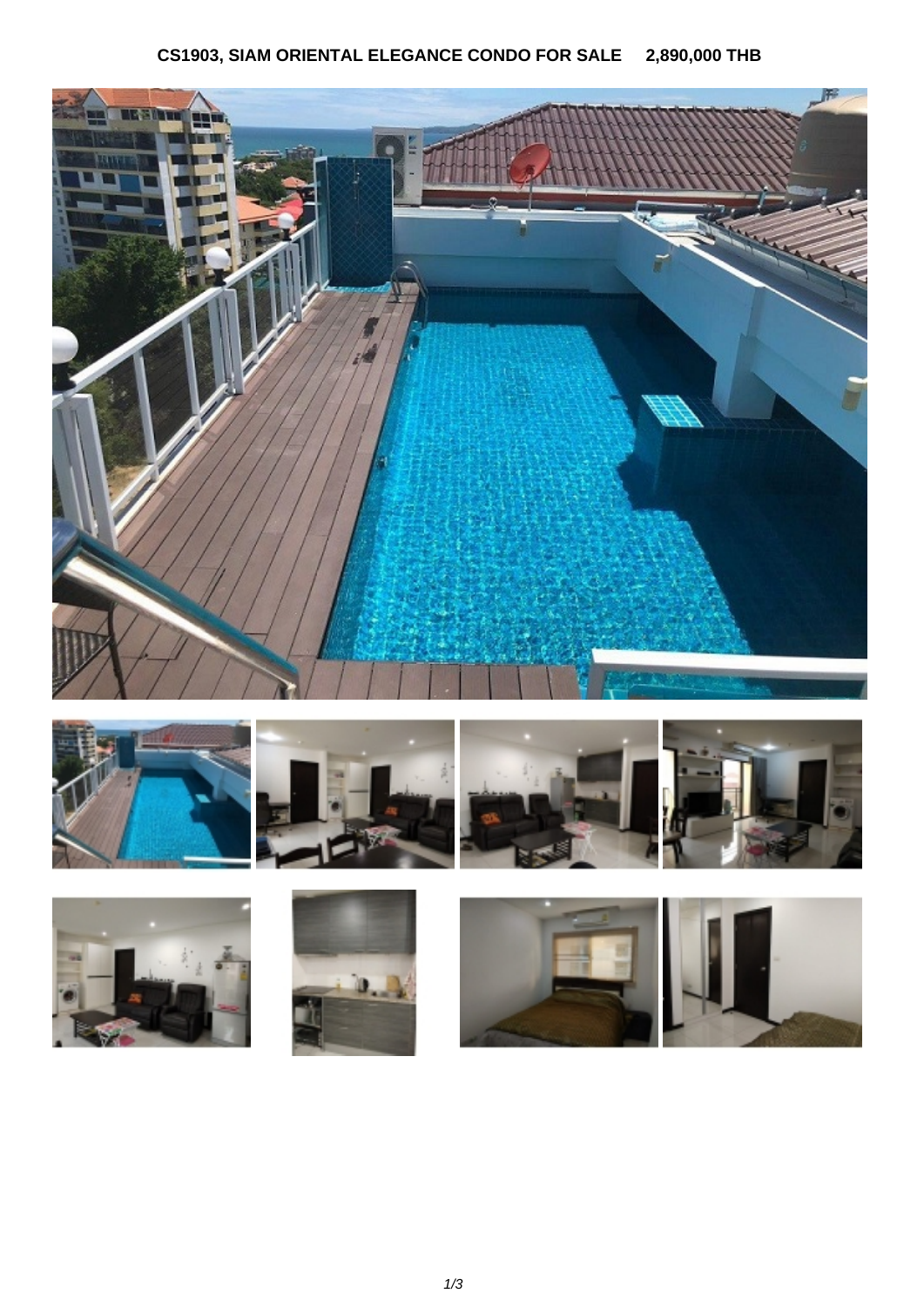## **CS1903, SIAM ORIENTAL ELEGANCE CONDO FOR SALE 2,890,000 THB**















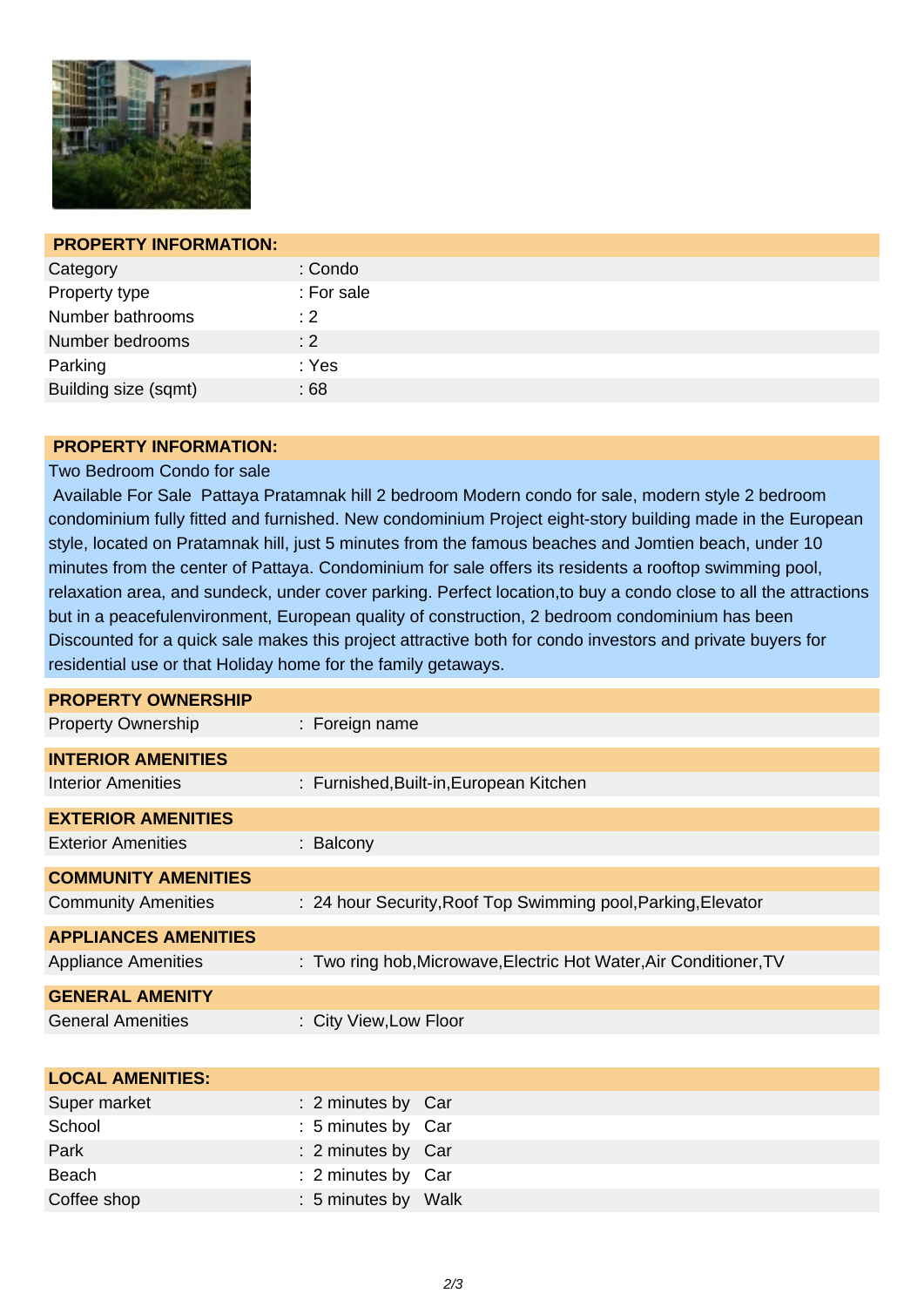

| <b>PROPERTY INFORMATION:</b> |            |
|------------------------------|------------|
| Category                     | : Condo    |
| Property type                | : For sale |
| Number bathrooms             | : 2        |
| Number bedrooms              | : 2        |
| Parking                      | : Yes      |
| Building size (sqmt)         | :68        |

## **PROPERTY INFORMATION:**

## Two Bedroom Condo for sale

 Available For Sale Pattaya Pratamnak hill 2 bedroom Modern condo for sale, modern style 2 bedroom condominium fully fitted and furnished. New condominium Project eight-story building made in the European style, located on Pratamnak hill, just 5 minutes from the famous beaches and Jomtien beach, under 10 minutes from the center of Pattaya. Condominium for sale offers its residents a rooftop swimming pool, relaxation area, and sundeck, under cover parking. Perfect location,to buy a condo close to all the attractions but in a peacefulenvironment, European quality of construction, 2 bedroom condominium has been Discounted for a quick sale makes this project attractive both for condo investors and private buyers for residential use or that Holiday home for the family getaways.

| <b>PROPERTY OWNERSHIP</b>   |                                                                    |
|-----------------------------|--------------------------------------------------------------------|
| <b>Property Ownership</b>   | : Foreign name                                                     |
| <b>INTERIOR AMENITIES</b>   |                                                                    |
| <b>Interior Amenities</b>   | : Furnished, Built-in, European Kitchen                            |
| <b>EXTERIOR AMENITIES</b>   |                                                                    |
| <b>Exterior Amenities</b>   | : Balcony                                                          |
| <b>COMMUNITY AMENITIES</b>  |                                                                    |
| <b>Community Amenities</b>  | : 24 hour Security, Roof Top Swimming pool, Parking, Elevator      |
| <b>APPLIANCES AMENITIES</b> |                                                                    |
| <b>Appliance Amenities</b>  | : Two ring hob, Microwave, Electric Hot Water, Air Conditioner, TV |
| <b>GENERAL AMENITY</b>      |                                                                    |
| <b>General Amenities</b>    | : City View, Low Floor                                             |

| <b>LOCAL AMENITIES:</b> |                     |  |
|-------------------------|---------------------|--|
| Super market            | : 2 minutes by Car  |  |
| School                  | : 5 minutes by Car  |  |
| Park                    | : 2 minutes by Car  |  |
| Beach                   | : 2 minutes by Car  |  |
| Coffee shop             | : 5 minutes by Walk |  |